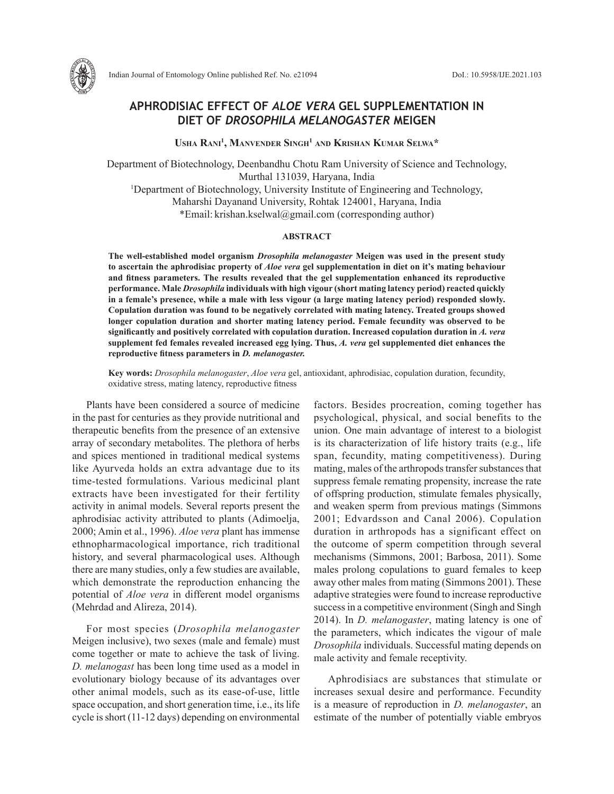

# **APHRODISIAC EFFECT OF** *ALOE VERA* **GEL SUPPLEMENTATION IN DIET OF** *DROSOPHILA MELANOGASTER* **MEIGEN**

**Usha Rani1 , Manvender Singh1 and Krishan Kumar Selwa\***

Department of Biotechnology, Deenbandhu Chotu Ram University of Science and Technology, Murthal 131039, Haryana, India <sup>1</sup>Department of Biotechnology, University Institute of Engineering and Technology, Maharshi Dayanand University, Rohtak 124001, Haryana, India \*Email: krishan.kselwal@gmail.com (corresponding author)

## **ABSTRACT**

**The well-established model organism** *Drosophila melanogaster* **Meigen was used in the present study to ascertain the aphrodisiac property of** *Aloe vera* **gel supplementation in diet on it's mating behaviour and fitness parameters. The results revealed that the gel supplementation enhanced its reproductive performance. Male** *Drosophila* **individuals with high vigour (short mating latency period) reacted quickly in a female's presence, while a male with less vigour (a large mating latency period) responded slowly. Copulation duration was found to be negatively correlated with mating latency. Treated groups showed longer copulation duration and shorter mating latency period. Female fecundity was observed to be significantly and positively correlated with copulation duration. Increased copulation duration in** *A. vera* **supplement fed females revealed increased egg lying. Thus,** *A. vera* **gel supplemented diet enhances the reproductive fitness parameters in** *D. melanogaster.* 

**Key words:** *Drosophila melanogaster*, *Aloe vera* gel, antioxidant, aphrodisiac, copulation duration, fecundity, oxidative stress, mating latency, reproductive fitness

Plants have been considered a source of medicine in the past for centuries as they provide nutritional and therapeutic benefits from the presence of an extensive array of secondary metabolites. The plethora of herbs and spices mentioned in traditional medical systems like Ayurveda holds an extra advantage due to its time-tested formulations. Various medicinal plant extracts have been investigated for their fertility activity in animal models. Several reports present the aphrodisiac activity attributed to plants (Adimoelja, 2000; Amin et al., 1996). *Aloe vera* plant has immense ethnopharmacological importance, rich traditional history, and several pharmacological uses. Although there are many studies, only a few studies are available, which demonstrate the reproduction enhancing the potential of *Aloe vera* in different model organisms (Mehrdad and Alireza, 2014).

For most species (*Drosophila melanogaster* Meigen inclusive), two sexes (male and female) must come together or mate to achieve the task of living. *D. melanogast* has been long time used as a model in evolutionary biology because of its advantages over other animal models, such as its ease-of-use, little space occupation, and short generation time, i.e., its life cycle is short (11-12 days) depending on environmental

factors. Besides procreation, coming together has psychological, physical, and social benefits to the union. One main advantage of interest to a biologist is its characterization of life history traits (e.g., life span, fecundity, mating competitiveness). During mating, males of the arthropods transfer substances that suppress female remating propensity, increase the rate of offspring production, stimulate females physically, and weaken sperm from previous matings (Simmons 2001; Edvardsson and Canal 2006). Copulation duration in arthropods has a significant effect on the outcome of sperm competition through several mechanisms (Simmons, 2001; Barbosa, 2011). Some males prolong copulations to guard females to keep away other males from mating (Simmons 2001). These adaptive strategies were found to increase reproductive success in a competitive environment (Singh and Singh 2014). In *D. melanogaster*, mating latency is one of the parameters, which indicates the vigour of male *Drosophila* individuals. Successful mating depends on male activity and female receptivity.

Aphrodisiacs are substances that stimulate or increases sexual desire and performance. Fecundity is a measure of reproduction in *D. melanogaster*, an estimate of the number of potentially viable embryos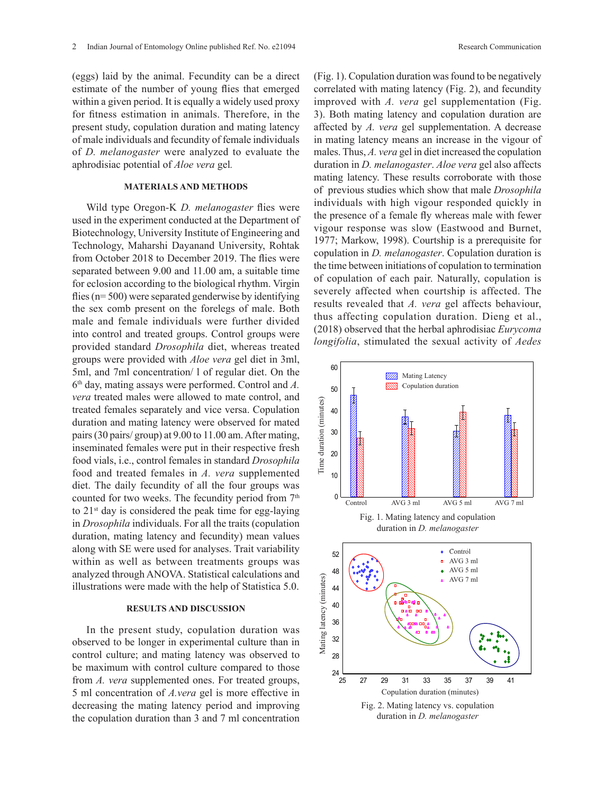(eggs) laid by the animal. Fecundity can be a direct estimate of the number of young flies that emerged within a given period. It is equally a widely used proxy for fitness estimation in animals. Therefore, in the present study, copulation duration and mating latency of male individuals and fecundity of female individuals of *D. melanogaster* were analyzed to evaluate the aphrodisiac potential of *Aloe vera* gel*.*

## **MATERIALS AND METHODS**

Wild type Oregon-K *D. melanogaster* flies were used in the experiment conducted at the Department of Biotechnology, University Institute of Engineering and Technology, Maharshi Dayanand University, Rohtak from October 2018 to December 2019. The flies were separated between 9.00 and 11.00 am, a suitable time for eclosion according to the biological rhythm. Virgin flies ( $n= 500$ ) were separated genderwise by identifying the sex comb present on the forelegs of male. Both male and female individuals were further divided into control and treated groups. Control groups were provided standard *Drosophila* diet, whereas treated groups were provided with *Aloe vera* gel diet in 3ml, 5ml, and 7ml concentration/ l of regular diet. On the 6th day, mating assays were performed. Control and *A. vera* treated males were allowed to mate control, and treated females separately and vice versa. Copulation duration and mating latency were observed for mated pairs (30 pairs/ group) at 9.00 to 11.00 am. After mating, inseminated females were put in their respective fresh food vials, i.e., control females in standard *Drosophila* food and treated females in *A. vera* supplemented diet. The daily fecundity of all the four groups was counted for two weeks. The fecundity period from  $7<sup>th</sup>$ to  $21<sup>st</sup>$  day is considered the peak time for egg-laying in *Drosophila* individuals. For all the traits (copulation duration, mating latency and fecundity) mean values along with SE were used for analyses. Trait variability within as well as between treatments groups was analyzed through ANOVA. Statistical calculations and illustrations were made with the help of Statistica 5.0.

### **RESULTS AND DISCUSSION**

In the present study, copulation duration was observed to be longer in experimental culture than in control culture; and mating latency was observed to be maximum with control culture compared to those from *A. vera* supplemented ones. For treated groups, 5 ml concentration of *A.vera* gel is more effective in decreasing the mating latency period and improving the copulation duration than 3 and 7 ml concentration (Fig. 1). Copulation duration was found to be negatively correlated with mating latency (Fig. 2), and fecundity improved with *A. vera* gel supplementation (Fig. 3). Both mating latency and copulation duration are affected by *A. vera* gel supplementation. A decrease in mating latency means an increase in the vigour of males. Thus, *A. vera* gel in diet increased the copulation duration in *D. melanogaster*. *Aloe vera* gel also affects mating latency. These results corroborate with those of previous studies which show that male *Drosophila* individuals with high vigour responded quickly in the presence of a female fly whereas male with fewer vigour response was slow (Eastwood and Burnet, 1977; Markow, 1998). Courtship is a prerequisite for copulation in *D. melanogaster*. Copulation duration is the time between initiations of copulation to termination of copulation of each pair. Naturally, copulation is severely affected when courtship is affected. The results revealed that *A. vera* gel affects behaviour, thus affecting copulation duration. Dieng et al., (2018) observed that the herbal aphrodisiac *Eurycoma*  longifolia, stimulated the sexual activity of *Aedes*  $\alpha$  the sexual activity  $\alpha$ 

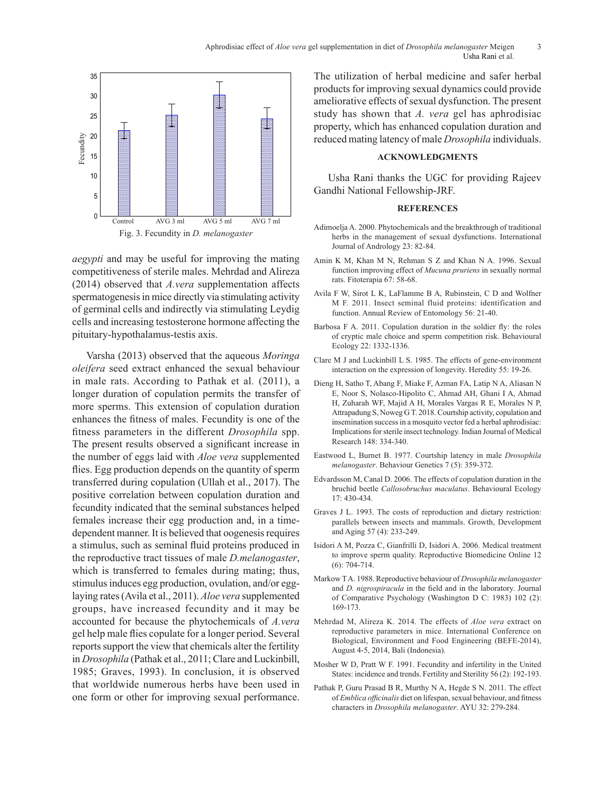

*aegypti* and may be useful for improving the mating competitiveness of sterile males. Mehrdad and Alireza (2014) observed that *A.vera* supplementation affects spermatogenesis in mice directly via stimulating activity of germinal cells and indirectly via stimulating Leydig cells and increasing testosterone hormone affecting the pituitary-hypothalamus-testis axis.

Varsha (2013) observed that the aqueous *Moringa oleifera* seed extract enhanced the sexual behaviour in male rats. According to Pathak et al*.* (2011), a longer duration of copulation permits the transfer of more sperms. This extension of copulation duration enhances the fitness of males. Fecundity is one of the fitness parameters in the different *Drosophila* spp. The present results observed a significant increase in the number of eggs laid with *Aloe vera* supplemented flies. Egg production depends on the quantity of sperm transferred during copulation (Ullah et al., 2017). The positive correlation between copulation duration and fecundity indicated that the seminal substances helped females increase their egg production and, in a timedependent manner. It is believed that oogenesis requires a stimulus, such as seminal fluid proteins produced in the reproductive tract tissues of male *D.melanogaster*, which is transferred to females during mating; thus, stimulus induces egg production, ovulation, and/or egglaying rates (Avila et al., 2011). *Aloe vera* supplemented groups, have increased fecundity and it may be accounted for because the phytochemicals of *A.vera* gel help male flies copulate for a longer period. Several reports support the view that chemicals alter the fertility in *Drosophila* (Pathak et al., 2011; Clare and Luckinbill, 1985; Graves, 1993). In conclusion, it is observed that worldwide numerous herbs have been used in one form or other for improving sexual performance. The utilization of herbal medicine and safer herbal products for improving sexual dynamics could provide ameliorative effects of sexual dysfunction. The present study has shown that *A. vera* gel has aphrodisiac property, which has enhanced copulation duration and reduced mating latency of male *Drosophila* individuals.

## **ACKNOWLEDGMENTS**

Usha Rani thanks the UGC for providing Rajeev Gandhi National Fellowship-JRF.

#### **REFERENCES**

- Adimoelja A. 2000. Phytochemicals and the breakthrough of traditional herbs in the management of sexual dysfunctions. International Journal of Andrology 23: 82-84.
- Amin K M, Khan M N, Rehman S Z and Khan N A. 1996. Sexual function improving effect of *Mucuna pruriens* in sexually normal rats. Fitoterapia 67: 58-68.
- Avila F W, Sirot L K, LaFlamme B A, Rubinstein, C D and Wolfner M F. 2011. Insect seminal fluid proteins: identification and function. Annual Review of Entomology 56: 21-40.
- Barbosa F A. 2011. Copulation duration in the soldier fly: the roles of cryptic male choice and sperm competition risk. Behavioural Ecology 22: 1332-1336.
- Clare M J and Luckinbill L S. 1985. The effects of gene-environment interaction on the expression of longevity. Heredity 55: 19-26.
- Dieng H, Satho T, Abang F, Miake F, Azman FA, Latip N A, Aliasan N E, Noor S, Nolasco-Hipolito C, Ahmad AH, Ghani I A, Ahmad H, Zuharah WF, Majid A H, Morales Vargas R E, Morales N P, Attrapadung S, Noweg G T. 2018. Courtship activity, copulation and insemination success in a mosquito vector fed a herbal aphrodisiac: Implications for sterile insect technology. Indian Journal of Medical Research 148: 334-340.
- Eastwood L, Burnet B. 1977. Courtship latency in male *Drosophila melanogaster*. Behaviour Genetics 7 (5): 359-372.
- Edvardsson M, Canal D. 2006. The effects of copulation duration in the bruchid beetle *Callosobruchus maculatus*. Behavioural Ecology 17: 430-434.
- Graves J L. 1993. The costs of reproduction and dietary restriction: parallels between insects and mammals. Growth, Development and Aging 57 (4): 233-249.
- Isidori A M, Pozza C, Gianfrilli D, Isidori A. 2006. Medical treatment to improve sperm quality. Reproductive Biomedicine Online 12 (6): 704-714.
- Markow T A. 1988. Reproductive behaviour of *Drosophila melanogaster* and *D. nigrospiracula* in the field and in the laboratory. Journal of Comparative Psychology (Washington D C: 1983) 102 (2): 169-173.
- Mehrdad M, Alireza K. 2014. The effects of *Aloe vera* extract on reproductive parameters in mice. International Conference on Biological, Environment and Food Engineering (BEFE-2014), August 4-5, 2014, Bali (Indonesia).
- Mosher W D, Pratt W F. 1991. Fecundity and infertility in the United States: incidence and trends. Fertility and Sterility 56 (2): 192-193.
- Pathak P, Guru Prasad B R, Murthy N A, Hegde S N. 2011. The effect of *Emblica officinalis* diet on lifespan, sexual behaviour, and fitness characters in *Drosophila melanogaster*. AYU 32: 279-284.